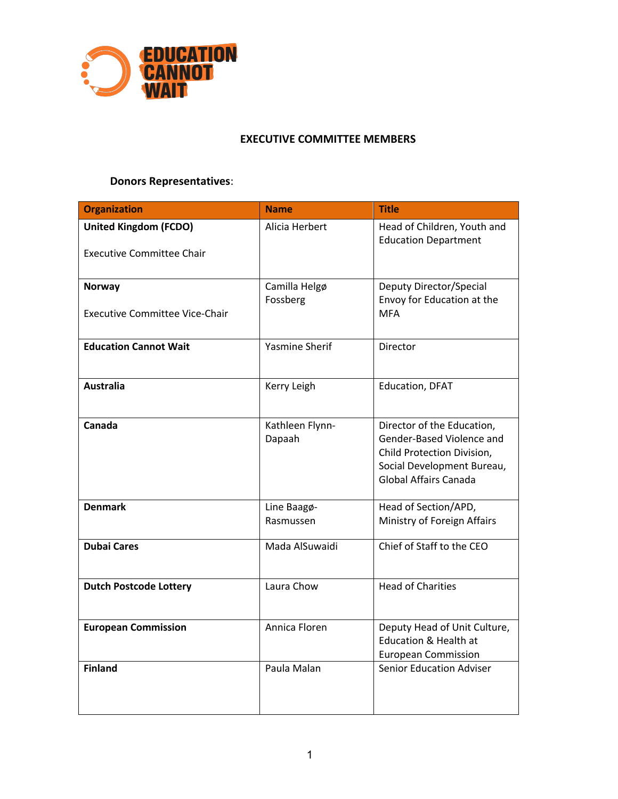

#### **EXECUTIVE COMMITTEE MEMBERS**

# **Donors Representatives**:

| <b>Organization</b>                                       | <b>Name</b>               | <b>Title</b>                                                                                                                                        |
|-----------------------------------------------------------|---------------------------|-----------------------------------------------------------------------------------------------------------------------------------------------------|
| United Kingdom (FCDO)<br><b>Executive Committee Chair</b> | Alicia Herbert            | Head of Children, Youth and<br><b>Education Department</b>                                                                                          |
| <b>Norway</b>                                             | Camilla Helgø<br>Fossberg | Deputy Director/Special<br>Envoy for Education at the                                                                                               |
| <b>Executive Committee Vice-Chair</b>                     |                           | <b>MFA</b>                                                                                                                                          |
| <b>Education Cannot Wait</b>                              | <b>Yasmine Sherif</b>     | Director                                                                                                                                            |
| <b>Australia</b>                                          | Kerry Leigh               | <b>Education, DFAT</b>                                                                                                                              |
| Canada                                                    | Kathleen Flynn-<br>Dapaah | Director of the Education,<br>Gender-Based Violence and<br>Child Protection Division,<br>Social Development Bureau,<br><b>Global Affairs Canada</b> |
| <b>Denmark</b>                                            | Line Baagø-<br>Rasmussen  | Head of Section/APD,<br>Ministry of Foreign Affairs                                                                                                 |
| <b>Dubai Cares</b>                                        | Mada AlSuwaidi            | Chief of Staff to the CEO                                                                                                                           |
| <b>Dutch Postcode Lottery</b>                             | Laura Chow                | <b>Head of Charities</b>                                                                                                                            |
| <b>European Commission</b>                                | Annica Floren             | Deputy Head of Unit Culture,<br><b>Education &amp; Health at</b><br><b>European Commission</b>                                                      |
| <b>Finland</b>                                            | Paula Malan               | <b>Senior Education Adviser</b>                                                                                                                     |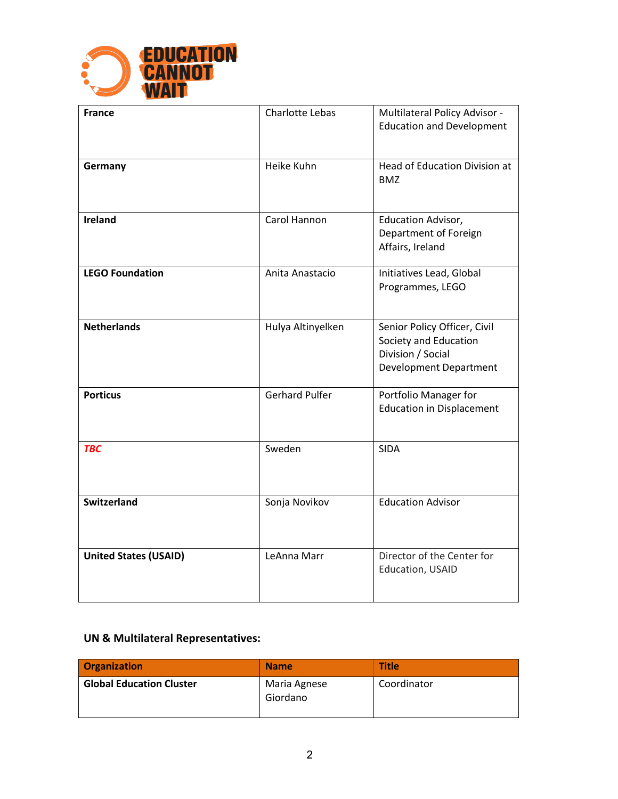

| <b>France</b>                | Charlotte Lebas       | Multilateral Policy Advisor -<br><b>Education and Development</b>                                    |
|------------------------------|-----------------------|------------------------------------------------------------------------------------------------------|
| Germany                      | Heike Kuhn            | Head of Education Division at<br><b>BMZ</b>                                                          |
| <b>Ireland</b>               | Carol Hannon          | Education Advisor,<br>Department of Foreign<br>Affairs, Ireland                                      |
| <b>LEGO Foundation</b>       | Anita Anastacio       | Initiatives Lead, Global<br>Programmes, LEGO                                                         |
| <b>Netherlands</b>           | Hulya Altinyelken     | Senior Policy Officer, Civil<br>Society and Education<br>Division / Social<br>Development Department |
| <b>Porticus</b>              | <b>Gerhard Pulfer</b> | Portfolio Manager for<br><b>Education in Displacement</b>                                            |
| <b>TBC</b>                   | Sweden                | <b>SIDA</b>                                                                                          |
| <b>Switzerland</b>           | Sonja Novikov         | <b>Education Advisor</b>                                                                             |
| <b>United States (USAID)</b> | LeAnna Marr           | Director of the Center for<br>Education, USAID                                                       |

## **UN & Multilateral Representatives:**

| <b>Organization</b>             | <b>Name</b>              | <b>Title</b> |
|---------------------------------|--------------------------|--------------|
| <b>Global Education Cluster</b> | Maria Agnese<br>Giordano | Coordinator  |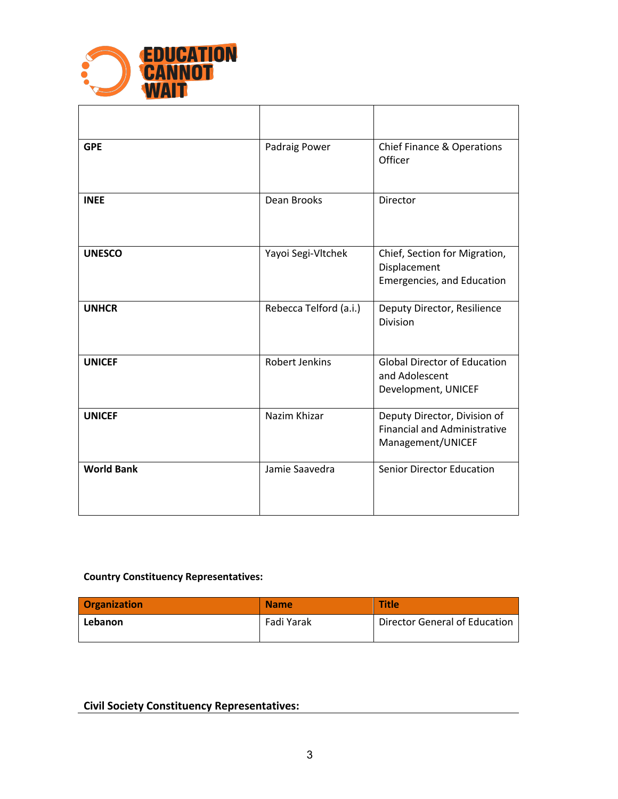

| <b>GPE</b>        | Padraig Power          | <b>Chief Finance &amp; Operations</b><br>Officer                                         |
|-------------------|------------------------|------------------------------------------------------------------------------------------|
| <b>INEE</b>       | Dean Brooks            | Director                                                                                 |
| <b>UNESCO</b>     | Yayoi Segi-Vltchek     | Chief, Section for Migration,<br>Displacement<br>Emergencies, and Education              |
| <b>UNHCR</b>      | Rebecca Telford (a.i.) | Deputy Director, Resilience<br>Division                                                  |
| <b>UNICEF</b>     | <b>Robert Jenkins</b>  | <b>Global Director of Education</b><br>and Adolescent<br>Development, UNICEF             |
| <b>UNICEF</b>     | Nazim Khizar           | Deputy Director, Division of<br><b>Financial and Administrative</b><br>Management/UNICEF |
| <b>World Bank</b> | Jamie Saavedra         | <b>Senior Director Education</b>                                                         |

### **Country Constituency Representatives:**

| <b>Organization</b> | <b>Name</b> | <b>Title</b>                  |
|---------------------|-------------|-------------------------------|
| Lebanon             | Fadi Yarak  | Director General of Education |

### **Civil Society Constituency Representatives:**